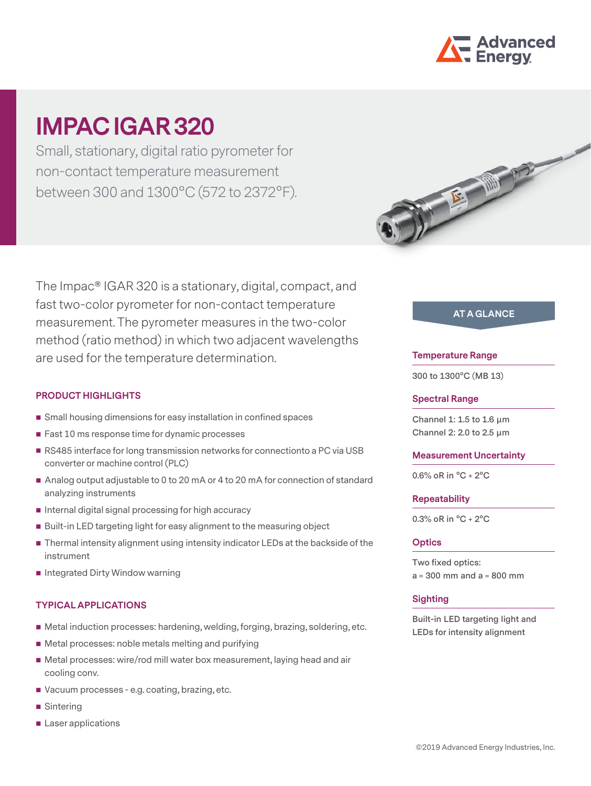

# **IMPAC IGAR 320**

Small, stationary, digital ratio pyrometer for non-contact temperature measurement between 300 and 1300°C (572 to 2372°F).

The Impac® IGAR 320 is a stationary, digital, compact, and fast two-color pyrometer for non-contact temperature measurement. The pyrometer measures in the two-color method (ratio method) in which two adjacent wavelengths are used for the temperature determination.

## **PRODUCT HIGHLIGHTS**

- Small housing dimensions for easy installation in confined spaces
- Fast 10 ms response time for dynamic processes
- RS485 interface for long transmission networks for connectionto a PC via USB converter or machine control (PLC)
- Analog output adjustable to 0 to 20 mA or 4 to 20 mA for connection of standard analyzing instruments
- $\blacksquare$  Internal digital signal processing for high accuracy
- Built-in LED targeting light for easy alignment to the measuring object
- Thermal intensity alignment using intensity indicator LEDs at the backside of the instrument
- **Integrated Dirty Window warning**

## **TYPICAL APPLICATIONS**

- Metal induction processes: hardening, welding, forging, brazing, soldering, etc.
- Metal processes: noble metals melting and purifying
- Metal processes: wire/rod mill water box measurement, laying head and air cooling conv.
- Vacuum processes e.g. coating, brazing, etc.
- Sintering
- **Laser applications**



# **AT A GLANCE**

#### **Temperature Range**

**300 to 1300°C (MB 13)**

#### **Spectral Range**

**Channel 1: 1.5 to 1.6 µm Channel 2: 2.0 to 2.5 µm** 

#### **Measurement Uncertainty**

**0.6% oR in °C + 2°C**

#### **Repeatability**

**0.3% oR in °C + 2°C**

#### **Optics**

**Two fixed optics: a = 300 mm and a = 800 mm**

#### **Sighting**

**Built-in LED targeting light and LEDs for intensity alignment**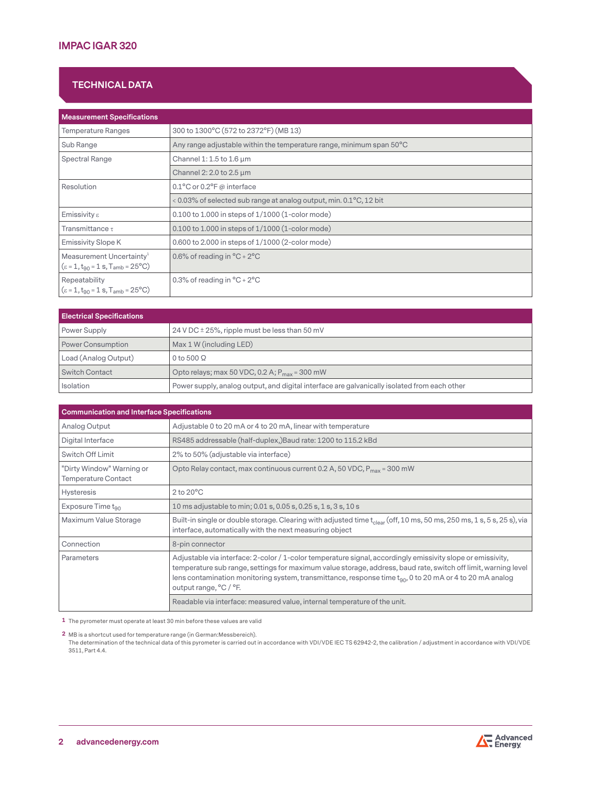# **TECHNICAL DATA**

| <b>Measurement Specifications</b>                                                             |                                                                      |
|-----------------------------------------------------------------------------------------------|----------------------------------------------------------------------|
| <b>Temperature Ranges</b>                                                                     | 300 to 1300°C (572 to 2372°F) (MB 13)                                |
| Sub Range                                                                                     | Any range adjustable within the temperature range, minimum span 50°C |
| Spectral Range                                                                                | Channel 1: 1.5 to 1.6 $\mu$ m                                        |
|                                                                                               | Channel 2: 2.0 to 2.5 $\mu$ m                                        |
| Resolution                                                                                    | $0.1^{\circ}$ C or $0.2^{\circ}$ F @ interface                       |
|                                                                                               | < 0.03% of selected sub range at analog output, min. 0.1°C, 12 bit   |
| Emissivity $\varepsilon$                                                                      | $0.100$ to 1.000 in steps of $1/1000$ (1-color mode)                 |
| Transmittance $\tau$                                                                          | $0.100$ to 1.000 in steps of $1/1000$ (1-color mode)                 |
| Emissivity Slope K                                                                            | 0.600 to 2.000 in steps of 1/1000 (2-color mode)                     |
| Measurement Uncertainty <sup>1</sup><br>$(\epsilon = 1, t_{90} = 1 s, T_{amb} = 25^{\circ}C)$ | 0.6% of reading in $^{\circ}$ C + 2 $^{\circ}$ C                     |
| Repeatability<br>$(\epsilon = 1, t_{90} = 1 s, T_{amb} = 25^{\circ}C)$                        | 0.3% of reading in $^{\circ}$ C + 2 $^{\circ}$ C                     |

| <b>Electrical Specifications</b> |                                                                                              |  |
|----------------------------------|----------------------------------------------------------------------------------------------|--|
| Power Supply                     | 24 V DC $\pm$ 25%, ripple must be less than 50 mV                                            |  |
| Power Consumption                | Max 1 W (including LED)                                                                      |  |
| Load (Analog Output)             | 0 to 500 $\Omega$                                                                            |  |
| Switch Contact                   | Opto relays; max 50 VDC, 0.2 A; $P_{max}$ = 300 mW                                           |  |
| Isolation                        | Power supply, analog output, and digital interface are galvanically isolated from each other |  |

| <b>Communication and Interface Specifications</b>       |                                                                                                                                                                                                                                                                                                                                                                          |  |
|---------------------------------------------------------|--------------------------------------------------------------------------------------------------------------------------------------------------------------------------------------------------------------------------------------------------------------------------------------------------------------------------------------------------------------------------|--|
| Analog Output                                           | Adjustable 0 to 20 mA or 4 to 20 mA, linear with temperature                                                                                                                                                                                                                                                                                                             |  |
| Digital Interface                                       | RS485 addressable (half-duplex,)Baud rate: 1200 to 115.2 kBd                                                                                                                                                                                                                                                                                                             |  |
| Switch Off Limit                                        | 2% to 50% (adjustable via interface)                                                                                                                                                                                                                                                                                                                                     |  |
| "Dirty Window" Warning or<br><b>Temperature Contact</b> | Opto Relay contact, max continuous current 0.2 A, 50 VDC, $P_{max}$ = 300 mW                                                                                                                                                                                                                                                                                             |  |
| <b>Hysteresis</b>                                       | $2$ to $20^{\circ}$ C                                                                                                                                                                                                                                                                                                                                                    |  |
| Exposure Time $t_{90}$                                  | 10 ms adjustable to min; 0.01 s, 0.05 s, 0.25 s, 1 s, 3 s, 10 s                                                                                                                                                                                                                                                                                                          |  |
| Maximum Value Storage                                   | Built-in single or double storage. Clearing with adjusted time $t_{\text{clear}}$ (off, 10 ms, 50 ms, 250 ms, 1 s, 5 s, 25 s), via<br>interface, automatically with the next measuring object                                                                                                                                                                            |  |
| Connection                                              | 8-pin connector                                                                                                                                                                                                                                                                                                                                                          |  |
| Parameters                                              | Adjustable via interface: 2-color / 1-color temperature signal, accordingly emissivity slope or emissivity,<br>temperature sub range, settings for maximum value storage, address, baud rate, switch off limit, warning level<br>lens contamination monitoring system, transmittance, response time $t_{90}$ , 0 to 20 mA or 4 to 20 mA analog<br>output range, °C / °F. |  |
|                                                         | Readable via interface: measured value, internal temperature of the unit.                                                                                                                                                                                                                                                                                                |  |

**1** The pyrometer must operate at least 30 min before these values are valid

**2** MB is a shortcut used for temperature range (in German:Messbereich).

The determination of the technical data of this pyrometer is carried out in accordance with VDI/VDE IEC TS 62942-2, the calibration / adjustment in accordance with VDI/VDE 3511, Part 4.4.

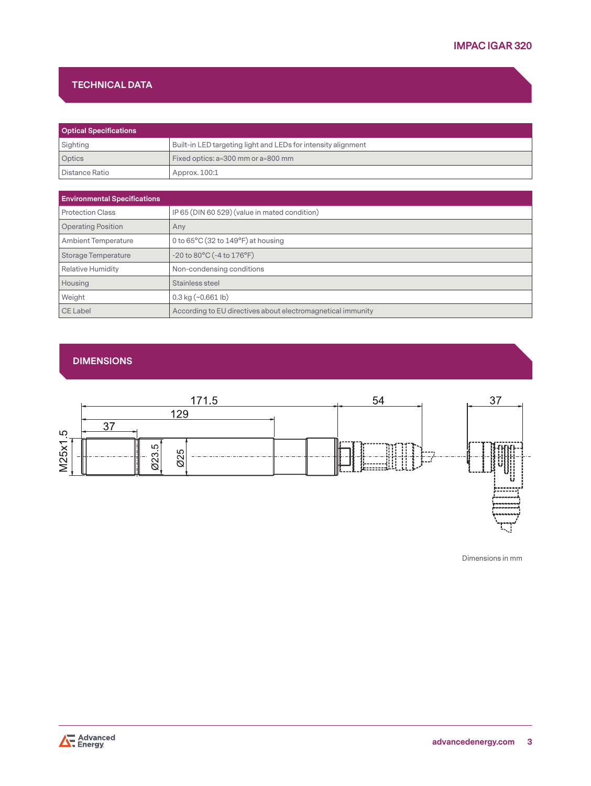# **TECHNICAL DATA**

| <b>Optical Specifications</b> |                                                               |  |
|-------------------------------|---------------------------------------------------------------|--|
| Sighting                      | Built-in LED targeting light and LEDs for intensity alignment |  |
| <b>Optics</b>                 | Fixed optics: a=300 mm or a=800 mm                            |  |
| Distance Ratio                | Approx. 100:1                                                 |  |

| <b>Environmental Specifications</b> |                                                             |
|-------------------------------------|-------------------------------------------------------------|
| <b>Protection Class</b>             | IP 65 (DIN 60 529) (value in mated condition)               |
| <b>Operating Position</b>           | Any                                                         |
| <b>Ambient Temperature</b>          | 0 to $65^{\circ}$ C (32 to $149^{\circ}$ F) at housing      |
| Storage Temperature                 | $-20$ to $80^{\circ}$ C ( $-4$ to $176^{\circ}$ F)          |
| <b>Relative Humidity</b>            | Non-condensing conditions                                   |
| Housing                             | Stainless steel                                             |
| Weight                              | $0.3$ kg $(\sim 0.661$ lb)                                  |
| CE Label                            | According to EU directives about electromagnetical immunity |

# **DIMENSIONS**



Dimensions in mm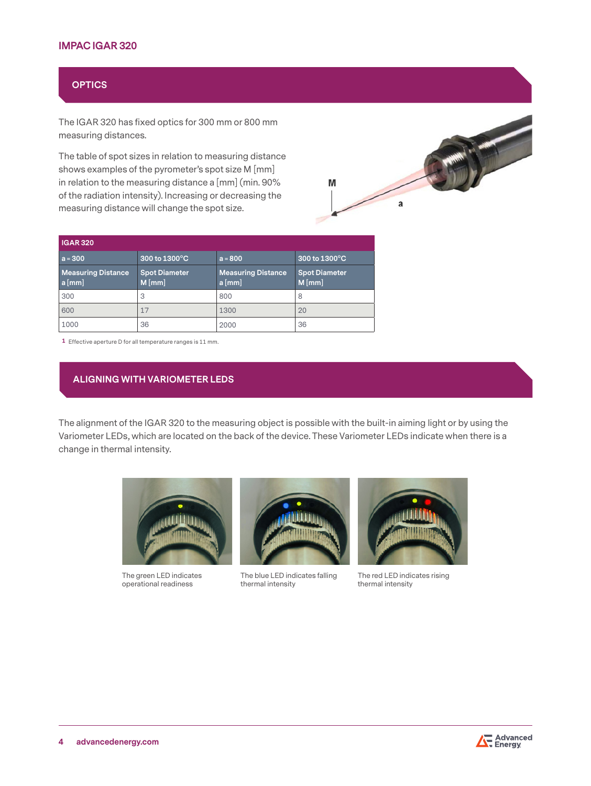# **IMPAC IGAR 320**

# **OPTICS**

The IGAR 320 has fixed optics for 300 mm or 800 mm measuring distances.

The table of spot sizes in relation to measuring distance shows examples of the pyrometer's spot size M [mm] in relation to the measuring distance a [mm] (min. 90% of the radiation intensity). Increasing or decreasing the measuring distance will change the spot size.



| <b>IGAR 320</b>                       |                                  |                                       |                                  |
|---------------------------------------|----------------------------------|---------------------------------------|----------------------------------|
| $a = 300$                             | 300 to 1300°C                    | $a = 800$                             | 300 to 1300°C                    |
| <b>Measuring Distance</b><br>$a$ [mm] | <b>Spot Diameter</b><br>$M$ [mm] | <b>Measuring Distance</b><br>$a$ [mm] | <b>Spot Diameter</b><br>$M$ [mm] |
| 300                                   | 3                                | 800                                   | 8                                |
| 600                                   | 17                               | 1300                                  | 20                               |
| 1000                                  | 36                               | 2000                                  | 36                               |

**1** Effective aperture D for all temperature ranges is 11 mm.

# **ALIGNING WITH VARIOMETER LEDS**

The alignment of the IGAR 320 to the measuring object is possible with the built-in aiming light or by using the Variometer LEDs, which are located on the back of the device. These Variometer LEDs indicate when there is a change in thermal intensity.



The green LED indicates operational readiness



The blue LED indicates falling thermal intensity



The red LED indicates rising thermal intensity

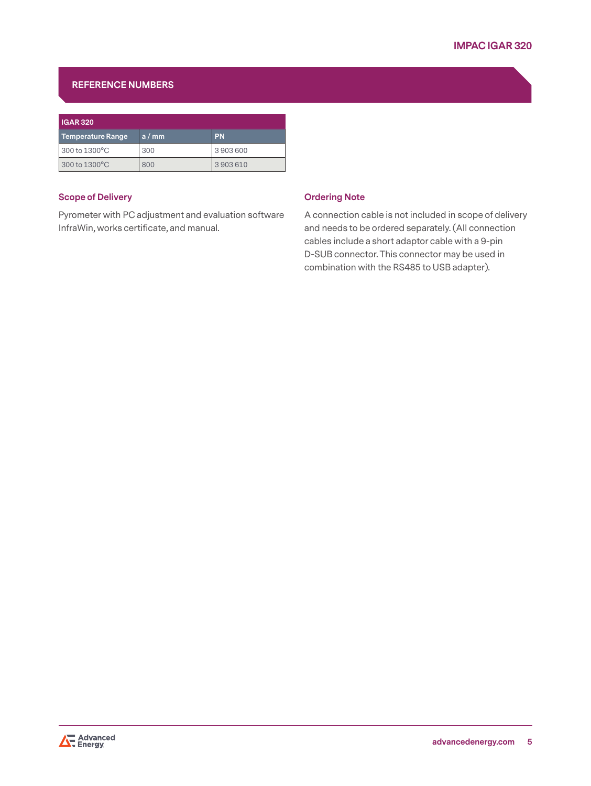# **REFERENCE NUMBERS**

| <b>IGAR 320</b>   |      |           |  |
|-------------------|------|-----------|--|
| Temperature Range | a/mm | <b>PN</b> |  |
| 300 to 1300°C     | 300  | 3903600   |  |
| 300 to 1300°C     | 800  | 3903610   |  |

## **Scope of Delivery**

Pyrometer with PC adjustment and evaluation software InfraWin, works certificate, and manual.

#### **Ordering Note**

A connection cable is not included in scope of delivery and needs to be ordered separately. (All connection cables include a short adaptor cable with a 9-pin D-SUB connector. This connector may be used in combination with the RS485 to USB adapter).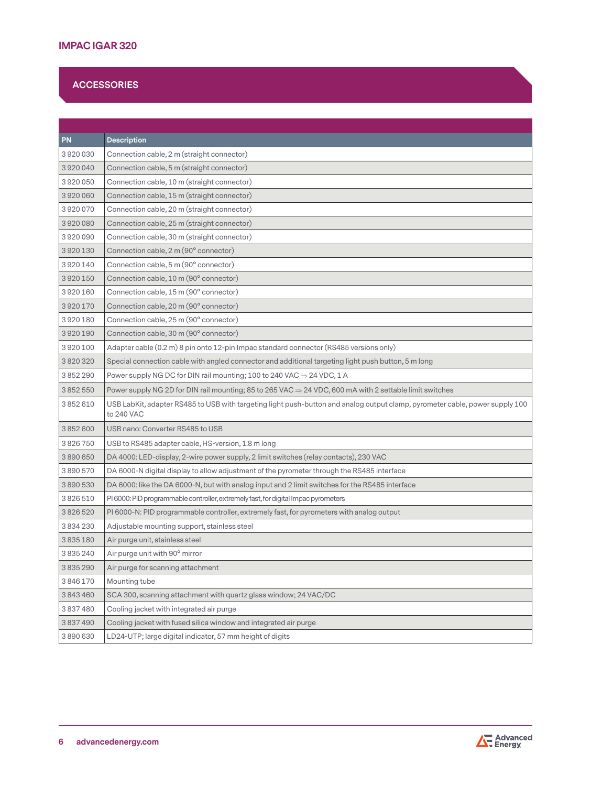# **ACCESSORIES**

| <b>PN</b>     | <b>Description</b>                                                                                                                         |
|---------------|--------------------------------------------------------------------------------------------------------------------------------------------|
| 3920030       | Connection cable, 2 m (straight connector)                                                                                                 |
| 3920040       | Connection cable, 5 m (straight connector)                                                                                                 |
| 3920050       | Connection cable, 10 m (straight connector)                                                                                                |
| 3920060       | Connection cable, 15 m (straight connector)                                                                                                |
| 3920070       | Connection cable, 20 m (straight connector)                                                                                                |
| 3920080       | Connection cable, 25 m (straight connector)                                                                                                |
| 3920090       | Connection cable, 30 m (straight connector)                                                                                                |
| 3920130       | Connection cable, 2 m (90° connector)                                                                                                      |
| 3920140       | Connection cable, 5 m (90° connector)                                                                                                      |
| 3920150       | Connection cable, 10 m (90° connector)                                                                                                     |
| 3920160       | Connection cable, 15 m (90° connector)                                                                                                     |
| 3920170       | Connection cable, 20 m (90° connector)                                                                                                     |
| 3920180       | Connection cable, 25 m (90° connector)                                                                                                     |
| 3920190       | Connection cable, 30 m (90° connector)                                                                                                     |
| 3920100       | Adapter cable (0.2 m) 8 pin onto 12-pin Impac standard connector (RS485 versions only)                                                     |
| 3820320       | Special connection cable with angled connector and additional targeting light push button, 5 m long                                        |
| 3852290       | Power supply NG DC for DIN rail mounting; 100 to 240 VAC $\Rightarrow$ 24 VDC, 1 A                                                         |
| 3 852 550     | Power supply NG 2D for DIN rail mounting; 85 to 265 VAC $\Rightarrow$ 24 VDC, 600 mA with 2 settable limit switches                        |
| 3852610       | USB LabKit, adapter RS485 to USB with targeting light push-button and analog output clamp, pyrometer cable, power supply 100<br>to 240 VAC |
| 3852600       | USB nano: Converter RS485 to USB                                                                                                           |
| 3826750       | USB to RS485 adapter cable, HS-version, 1.8 m long                                                                                         |
| 3890650       | DA 4000: LED-display, 2-wire power supply, 2 limit switches (relay contacts), 230 VAC                                                      |
| 3890570       | DA 6000-N digital display to allow adjustment of the pyrometer through the RS485 interface                                                 |
| 3890530       | DA 6000: like the DA 6000-N, but with analog input and 2 limit switches for the RS485 interface                                            |
| 3826510       | PI 6000: PID programmable controller, extremely fast, for digital Impac pyrometers                                                         |
| 3826520       | PI 6000-N: PID programmable controller, extremely fast, for pyrometers with analog output                                                  |
| 3834230       | Adjustable mounting support, stainless steel                                                                                               |
| 3835180       | Air purge unit, stainless steel                                                                                                            |
| 3835240       | Air purge unit with 90° mirror                                                                                                             |
| 3 8 3 5 2 9 0 | Air purge for scanning attachment                                                                                                          |
| 3846170       | Mounting tube                                                                                                                              |
| 3843460       | SCA 300, scanning attachment with quartz glass window; 24 VAC/DC                                                                           |
| 3837480       | Cooling jacket with integrated air purge                                                                                                   |
| 3837490       | Cooling jacket with fused silica window and integrated air purge                                                                           |
| 3890630       | LD24-UTP; large digital indicator, 57 mm height of digits                                                                                  |

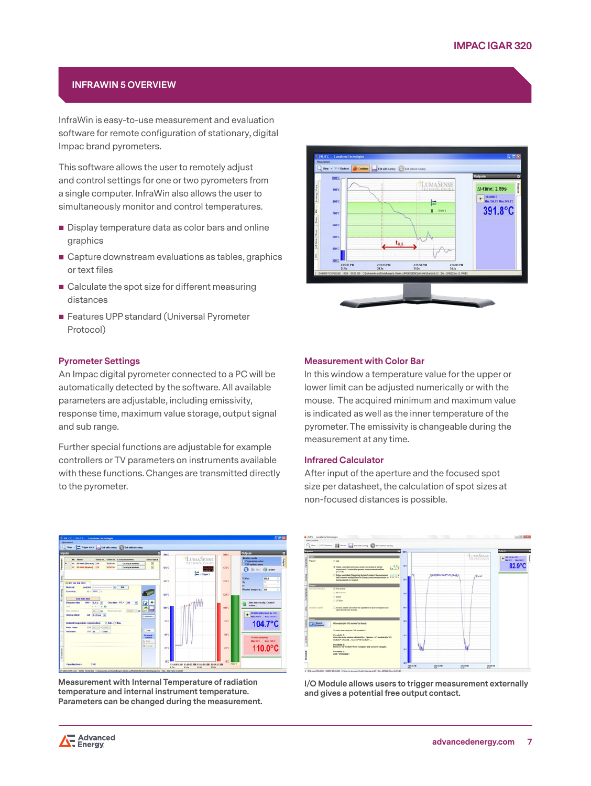# **INFRAWIN 5 OVERVIEW**

InfraWin is easy-to-use measurement and evaluation software for remote configuration of stationary, digital Impac brand pyrometers.

This software allows the user to remotely adjust and control settings for one or two pyrometers from a single computer. InfraWin also allows the user to simultaneously monitor and control temperatures.

- Display temperature data as color bars and online graphics
- Capture downstream evaluations as tables, graphics or text files
- Calculate the spot size for different measuring distances
- **Features UPP standard (Universal Pyrometer** Protocol)

#### **Pyrometer Settings**

An Impac digital pyrometer connected to a PC will be automatically detected by the software. All available parameters are adjustable, including emissivity, response time, maximum value storage, output signal and sub range.

Further special functions are adjustable for example controllers or TV parameters on instruments available with these functions. Changes are transmitted directly to the pyrometer.



**Measurement with Internal Temperature of radiation temperature and internal instrument temperature. Parameters can be changed during the measurement.**



#### **Measurement with Color Bar**

In this window a temperature value for the upper or lower limit can be adjusted numerically or with the mouse. The acquired minimum and maximum value is indicated as well as the inner temperature of the pyrometer. The emissivity is changeable during the measurement at any time.

#### **Infrared Calculator**

After input of the aperture and the focused spot size per datasheet, the calculation of spot sizes at non-focused distances is possible.



**I/O Module allows users to trigger measurement externally and gives a potential free output contact.**